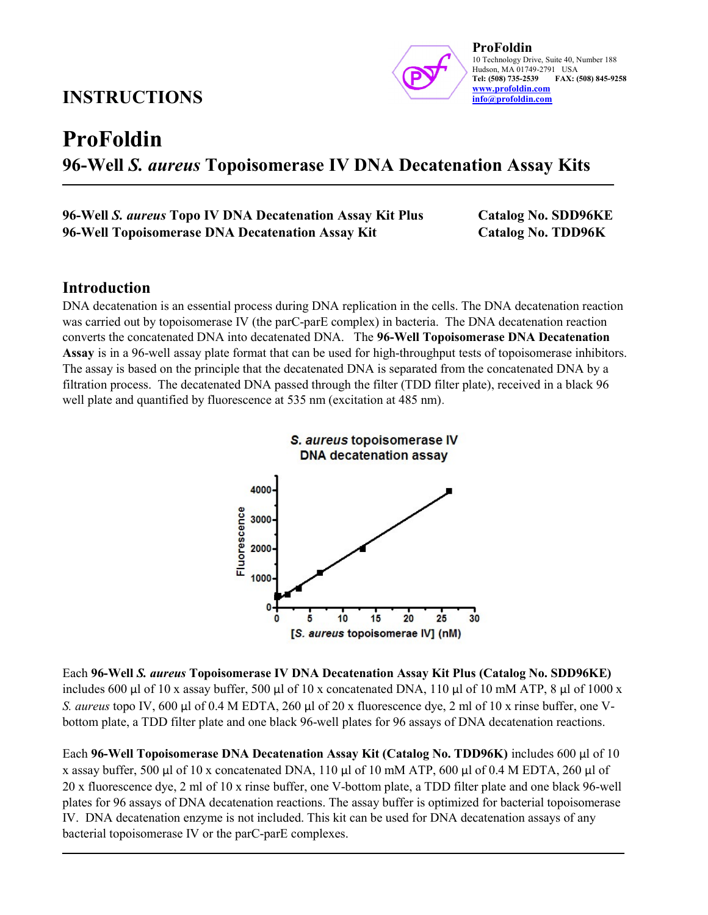## INSTRUCTIONS



# ProFoldin 96-Well S. aureus Topoisomerase IV DNA Decatenation Assay Kits

#### 96-Well S. aureus Topo IV DNA Decatenation Assay Kit Plus Catalog No. SDD96KE 96-Well Topoisomerase DNA Decatenation Assay Kit Catalog No. TDD96K

## Introduction

DNA decatenation is an essential process during DNA replication in the cells. The DNA decatenation reaction was carried out by topoisomerase IV (the parC-parE complex) in bacteria. The DNA decatenation reaction converts the concatenated DNA into decatenated DNA. The 96-Well Topoisomerase DNA Decatenation Assay is in a 96-well assay plate format that can be used for high-throughput tests of topoisomerase inhibitors. The assay is based on the principle that the decatenated DNA is separated from the concatenated DNA by a filtration process. The decatenated DNA passed through the filter (TDD filter plate), received in a black 96 well plate and quantified by fluorescence at 535 nm (excitation at 485 nm).



Each 96-Well S. aureus Topoisomerase IV DNA Decatenation Assay Kit Plus (Catalog No. SDD96KE) includes 600 µl of 10 x assay buffer, 500 µl of 10 x concatenated DNA, 110 µl of 10 mM ATP, 8 µl of 1000 x S. aureus topo IV, 600 µl of 0.4 M EDTA, 260 µl of 20 x fluorescence dye, 2 ml of 10 x rinse buffer, one Vbottom plate, a TDD filter plate and one black 96-well plates for 96 assays of DNA decatenation reactions.

Each 96-Well Topoisomerase DNA Decatenation Assay Kit (Catalog No. TDD96K) includes 600 µl of 10 x assay buffer, 500 µl of 10 x concatenated DNA, 110 µl of 10 mM ATP, 600 µl of 0.4 M EDTA, 260 µl of 20 x fluorescence dye, 2 ml of 10 x rinse buffer, one V-bottom plate, a TDD filter plate and one black 96-well plates for 96 assays of DNA decatenation reactions. The assay buffer is optimized for bacterial topoisomerase IV. DNA decatenation enzyme is not included. This kit can be used for DNA decatenation assays of any bacterial topoisomerase IV or the parC-parE complexes.